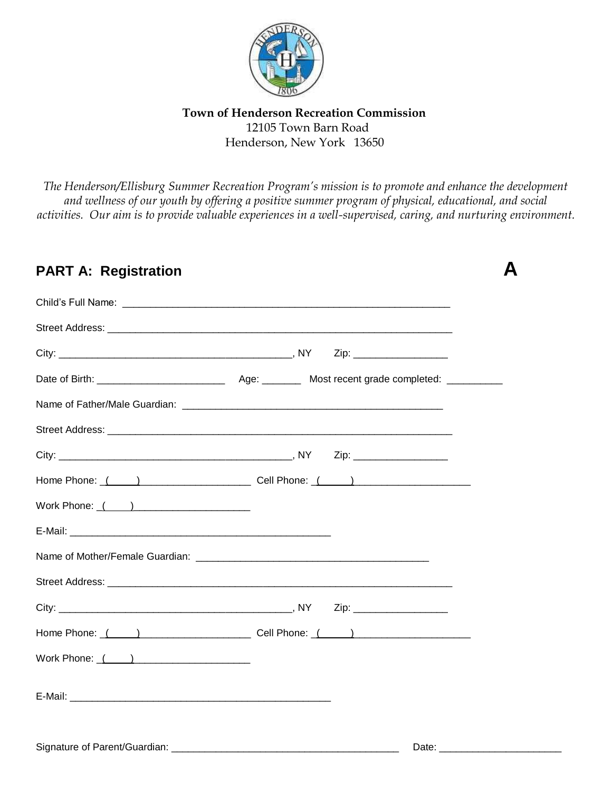

**Town of Henderson Recreation Commission** 12105 Town Barn Road Henderson, New York 13650

*The Henderson/Ellisburg Summer Recreation Program's mission is to promote and enhance the development and wellness of our youth by offering a positive summer program of physical, educational, and social activities. Our aim is to provide valuable experiences in a well-supervised, caring, and nurturing environment.*

| <b>PART A: Registration</b> |  |
|-----------------------------|--|
|                             |  |
|                             |  |
|                             |  |
|                             |  |
|                             |  |
|                             |  |
|                             |  |
|                             |  |
| Work Phone: ( )             |  |
|                             |  |
|                             |  |
|                             |  |
|                             |  |
|                             |  |
| Work Phone: $($ $)$         |  |
|                             |  |
|                             |  |

# Signature of Parent/Guardian: \_\_\_\_\_\_\_\_\_\_\_\_\_\_\_\_\_\_\_\_\_\_\_\_\_\_\_\_\_\_\_\_\_\_\_\_\_\_\_\_\_ Date: \_\_\_\_\_\_\_\_\_\_\_\_\_\_\_\_\_\_\_\_\_\_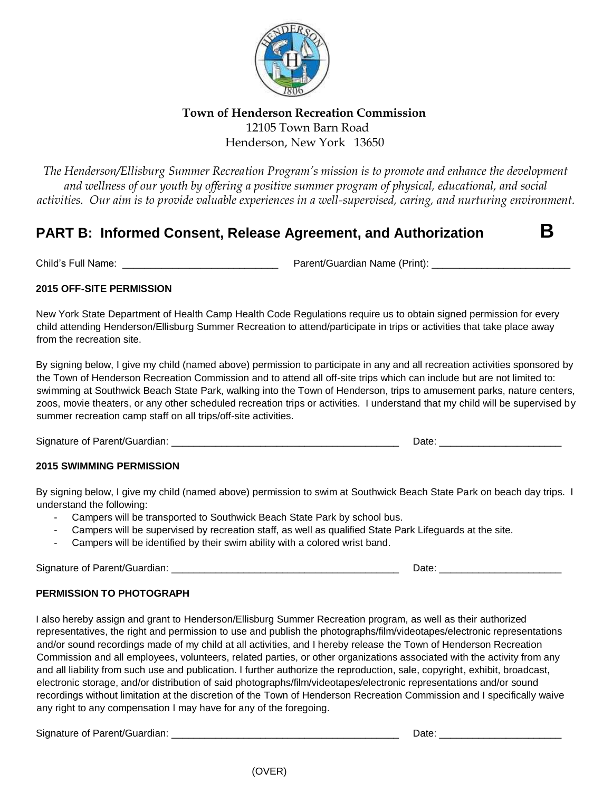

# **Town of Henderson Recreation Commission** 12105 Town Barn Road Henderson, New York 13650

*The Henderson/Ellisburg Summer Recreation Program's mission is to promote and enhance the development and wellness of our youth by offering a positive summer program of physical, educational, and social activities. Our aim is to provide valuable experiences in a well-supervised, caring, and nurturing environment.*

# **PART B: Informed Consent, Release Agreement, and Authorization B**

Child's Full Name: \_\_\_\_\_\_\_\_\_\_\_\_\_\_\_\_\_\_\_\_\_\_\_\_\_\_\_\_ Parent/Guardian Name (Print): \_\_\_\_\_\_\_\_\_\_\_\_\_\_\_\_\_\_\_\_\_\_\_\_\_

## **2015 OFF-SITE PERMISSION**

New York State Department of Health Camp Health Code Regulations require us to obtain signed permission for every child attending Henderson/Ellisburg Summer Recreation to attend/participate in trips or activities that take place away from the recreation site.

By signing below, I give my child (named above) permission to participate in any and all recreation activities sponsored by the Town of Henderson Recreation Commission and to attend all off-site trips which can include but are not limited to: swimming at Southwick Beach State Park, walking into the Town of Henderson, trips to amusement parks, nature centers, zoos, movie theaters, or any other scheduled recreation trips or activities. I understand that my child will be supervised by summer recreation camp staff on all trips/off-site activities.

Signature of Parent/Guardian: \_\_\_\_\_\_\_\_\_\_\_\_\_\_\_\_\_\_\_\_\_\_\_\_\_\_\_\_\_\_\_\_\_\_\_\_\_\_\_\_\_ Date: \_\_\_\_\_\_\_\_\_\_\_\_\_\_\_\_\_\_\_\_\_\_

## **2015 SWIMMING PERMISSION**

By signing below, I give my child (named above) permission to swim at Southwick Beach State Park on beach day trips. I understand the following:

- Campers will be transported to Southwick Beach State Park by school bus.
- Campers will be supervised by recreation staff, as well as qualified State Park Lifeguards at the site.
- Campers will be identified by their swim ability with a colored wrist band.

Signature of Parent/Guardian: \_\_\_\_\_\_\_\_\_\_\_\_\_\_\_\_\_\_\_\_\_\_\_\_\_\_\_\_\_\_\_\_\_\_\_\_\_\_\_\_\_ Date: \_\_\_\_\_\_\_\_\_\_\_\_\_\_\_\_\_\_\_\_\_\_

## **PERMISSION TO PHOTOGRAPH**

I also hereby assign and grant to Henderson/Ellisburg Summer Recreation program, as well as their authorized representatives, the right and permission to use and publish the photographs/film/videotapes/electronic representations and/or sound recordings made of my child at all activities, and I hereby release the Town of Henderson Recreation Commission and all employees, volunteers, related parties, or other organizations associated with the activity from any and all liability from such use and publication. I further authorize the reproduction, sale, copyright, exhibit, broadcast, electronic storage, and/or distribution of said photographs/film/videotapes/electronic representations and/or sound recordings without limitation at the discretion of the Town of Henderson Recreation Commission and I specifically waive any right to any compensation I may have for any of the foregoing.

Signature of Parent/Guardian: \_\_\_\_\_\_\_\_\_\_\_\_\_\_\_\_\_\_\_\_\_\_\_\_\_\_\_\_\_\_\_\_\_\_\_\_\_\_\_\_\_ Date: \_\_\_\_\_\_\_\_\_\_\_\_\_\_\_\_\_\_\_\_\_\_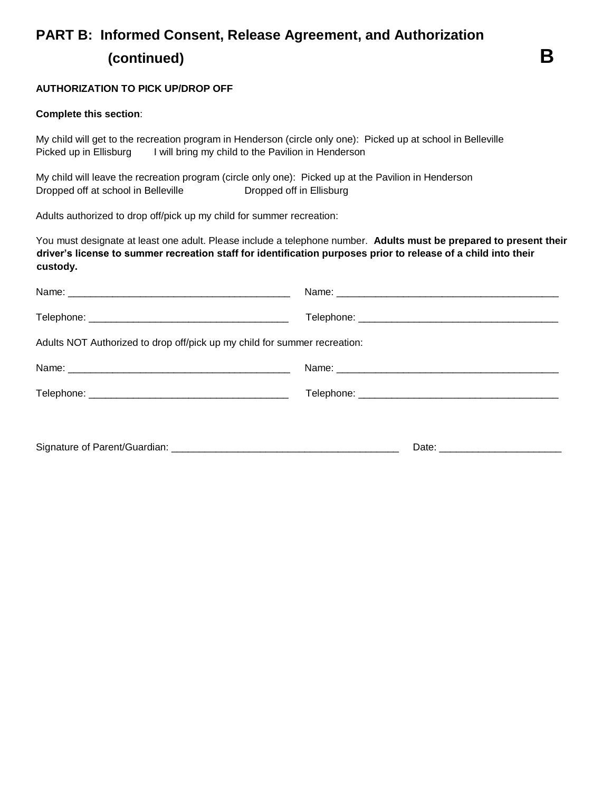# **PART B: Informed Consent, Release Agreement, and Authorization (continued) B**

### **AUTHORIZATION TO PICK UP/DROP OFF**

#### **Complete this section**:

My child will get to the recreation program in Henderson (circle only one): Picked up at school in Belleville Picked up in Ellisburg I will bring my child to the Pavilion in Henderson

My child will leave the recreation program (circle only one): Picked up at the Pavilion in Henderson Dropped off at school in Belleville **Dropped off in Ellisburg** 

Adults authorized to drop off/pick up my child for summer recreation:

You must designate at least one adult. Please include a telephone number. **Adults must be prepared to present their driver's license to summer recreation staff for identification purposes prior to release of a child into their custody.**

| Adults NOT Authorized to drop off/pick up my child for summer recreation: |  |  |  |
|---------------------------------------------------------------------------|--|--|--|
|                                                                           |  |  |  |
|                                                                           |  |  |  |
|                                                                           |  |  |  |
|                                                                           |  |  |  |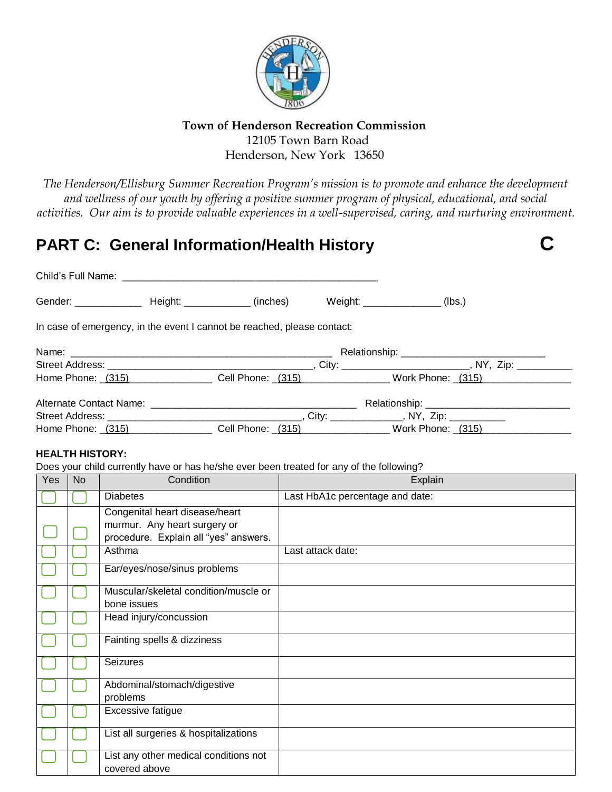

## **Town of Henderson Recreation Commission** 12105 Town Barn Road Henderson, New York 13650

*The Henderson/Ellisburg Summer Recreation Program's mission is to promote and enhance the development and wellness of our youth by offering a positive summer program of physical, educational, and social activities. Our aim is to provide valuable experiences in a well-supervised, caring, and nurturing environment.*

# **PART C: General Information/Health History C**

| Gender: ________________ Height: _____________ (inches)                 | Weight: _________________ | (lbs.) |  |
|-------------------------------------------------------------------------|---------------------------|--------|--|
| In case of emergency, in the event I cannot be reached, please contact: |                           |        |  |
|                                                                         |                           |        |  |
|                                                                         |                           |        |  |
| Home Phone: (315) Cell Phone: (315) Vork Phone: (315)                   |                           |        |  |
|                                                                         |                           |        |  |
|                                                                         |                           |        |  |

# Home Phone: <u>\_(315)\_\_\_\_\_\_\_\_\_\_\_\_\_\_\_\_\_\_</u> Cell Phone: <u>\_(315)\_\_\_\_\_\_\_\_\_\_\_\_\_\_\_\_\_</u> Work Phone: <u>\_(315)\_\_\_\_\_\_\_\_\_\_\_\_\_\_</u>\_\_\_\_\_

## **HEALTH HISTORY:**

Does your child currently have or has he/she ever been treated for any of the following?

| Yes | <b>No</b> | Condition                                                                                               | Explain                         |
|-----|-----------|---------------------------------------------------------------------------------------------------------|---------------------------------|
|     |           | <b>Diabetes</b>                                                                                         | Last HbA1c percentage and date: |
|     |           | Congenital heart disease/heart<br>murmur. Any heart surgery or<br>procedure. Explain all "yes" answers. |                                 |
|     |           | Asthma                                                                                                  | Last attack date:               |
|     |           | Ear/eyes/nose/sinus problems                                                                            |                                 |
|     |           | Muscular/skeletal condition/muscle or<br>bone issues                                                    |                                 |
|     |           | Head injury/concussion                                                                                  |                                 |
|     |           | Fainting spells & dizziness                                                                             |                                 |
|     |           | <b>Seizures</b>                                                                                         |                                 |
|     |           | Abdominal/stomach/digestive<br>problems                                                                 |                                 |
|     |           | Excessive fatigue                                                                                       |                                 |
|     |           | List all surgeries & hospitalizations                                                                   |                                 |
|     |           | List any other medical conditions not<br>covered above                                                  |                                 |